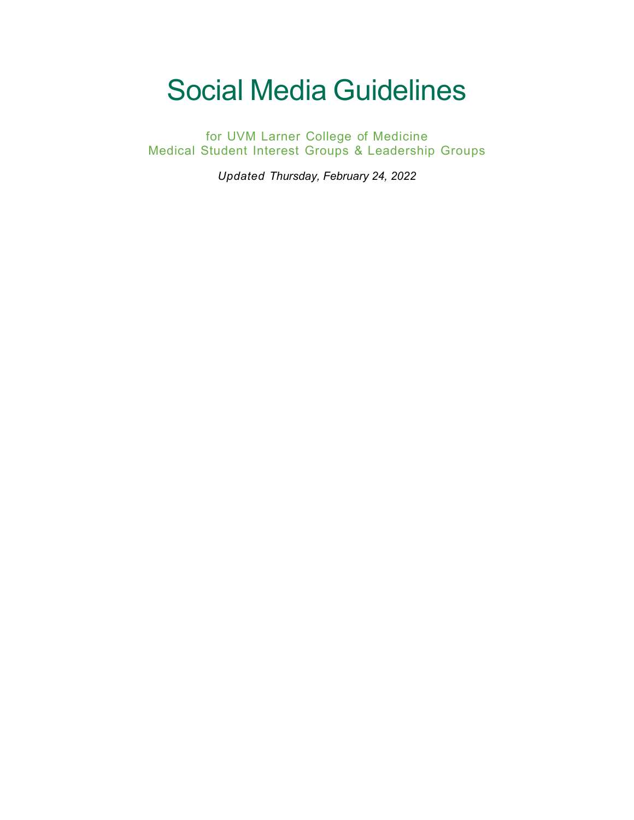# Social Media Guidelines

for UVM Larner College of Medicine Medical Student Interest Groups & Leadership Groups

*Updated Thursday, February 24, 2022*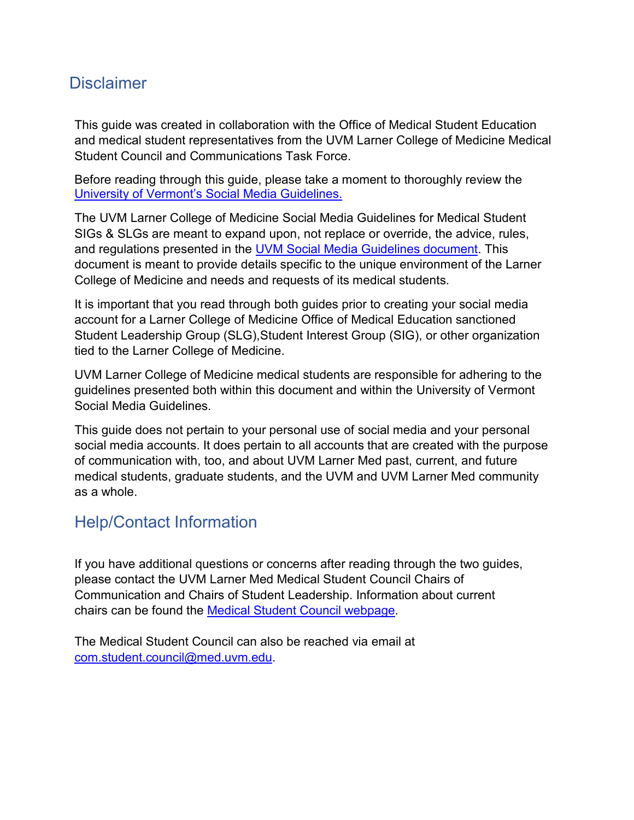# <span id="page-1-0"></span>**Disclaimer**

This guide was created in collaboration with the Office of Medical Student Education and medical student representatives from the UVM Larner College of Medicine Medical Student Council and Communications Task Force.

Before reading through this guide, please take a moment to thoroughly review the [University of Vermont's Social Media Guidelines.](https://www.uvm.edu/sites/default/files/UVM-Today/UVM-2021-SocialGuidelines.pdf)

The UVM Larner College of Medicine Social Media Guidelines for Medical Student SIGs & SLGs are meant to expand upon, not replace or override, the advice, rules, and regulations presented in the UVM Social [Media Guidelines document.](https://www.uvm.edu/sites/default/files/UVM-Today/UVM-2021-SocialGuidelines.pdf) This document is meant to provide details specific to the unique environment of the Larner College of Medicine and needs and requests of its medical students.

It is important that you read through both guides prior to creating your social media account for a Larner College of Medicine Office of Medical Education sanctioned Student Leadership Group (SLG),Student Interest Group (SIG), or other organization tied to the Larner College of Medicine.

UVM Larner College of Medicine medical students are responsible for adhering to the guidelines presented both within this document and within the University of Vermont Social Media Guidelines.

<span id="page-1-1"></span>This guide does not pertain to your personal use of social media and your personal social media accounts. It does pertain to all accounts that are created with the purpose of communication with, too, and about UVM Larner Med past, current, and future medical students, graduate students, and the UVM and UVM Larner Med community as a whole.

# Help/Contact Information

If you have additional questions or concerns after reading through the two guides, please contact the UVM Larner Med Medical Student Council Chairs of Communication and Chairs of Student Leadership. Information about current chairs can be found the [Medical Student Council webpage.](https://www.med.uvm.edu/studentservices/leadershipopps/studentcouncil)

The Medical Student Council can also be reached via email at [com.student.council@med.uvm.edu.](mailto:com.student.council@med.uvm.edu)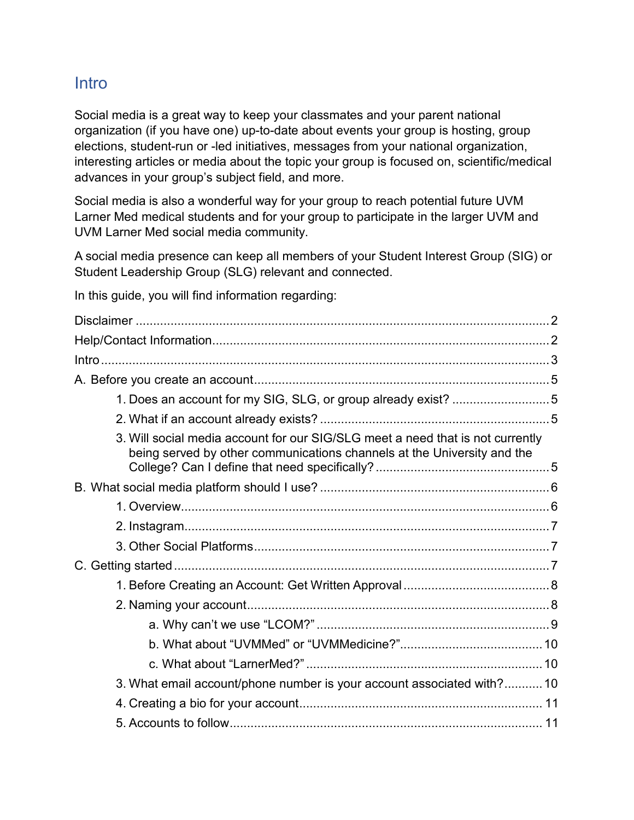## <span id="page-2-0"></span>**Intro**

Social media is a great way to keep your classmates and your parent national organization (if you have one) up-to-date about events your group is hosting, group elections, student-run or -led initiatives, messages from your national organization, interesting articles or media about the topic your group is focused on, scientific/medical advances in your group's subject field, and more.

Social media is also a wonderful way for your group to reach potential future UVM Larner Med medical students and for your group to participate in the larger UVM and UVM Larner Med social media community.

A social media presence can keep all members of your Student Interest Group (SIG) or Student Leadership Group (SLG) relevant and connected.

In this guide, you will find information regarding:

| 1. Does an account for my SIG, SLG, or group already exist? 5                                                                                             |  |
|-----------------------------------------------------------------------------------------------------------------------------------------------------------|--|
|                                                                                                                                                           |  |
| 3. Will social media account for our SIG/SLG meet a need that is not currently<br>being served by other communications channels at the University and the |  |
|                                                                                                                                                           |  |
|                                                                                                                                                           |  |
|                                                                                                                                                           |  |
|                                                                                                                                                           |  |
|                                                                                                                                                           |  |
|                                                                                                                                                           |  |
|                                                                                                                                                           |  |
|                                                                                                                                                           |  |
|                                                                                                                                                           |  |
|                                                                                                                                                           |  |
| 3. What email account/phone number is your account associated with? 10                                                                                    |  |
|                                                                                                                                                           |  |
|                                                                                                                                                           |  |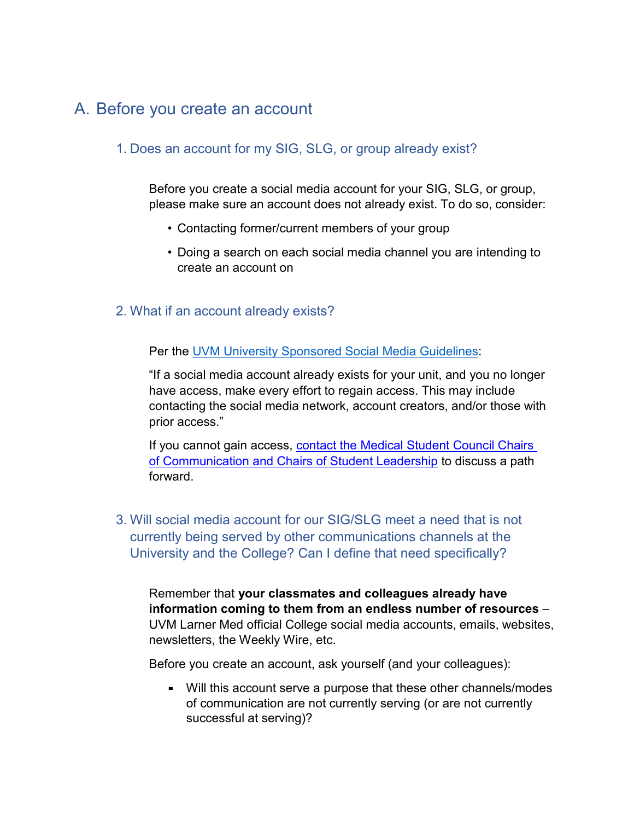# <span id="page-4-1"></span><span id="page-4-0"></span>A. Before you create an account

## 1. Does an account for my SIG, SLG, or group already exist?

Before you create a social media account for your SIG, SLG, or group, please make sure an account does not already exist. To do so, consider:

- Contacting former/current members of your group
- Doing a search on each social media channel you are intending to create an account on
- <span id="page-4-2"></span>2. What if an account already exists?

Per the UVM University Sponsored Social Media Guidelines:

"If a social media account already exists for your unit, and you no longer have access, make every effort to regain access. This may include contacting the social media network, account creators, and/or those with prior access."

If you cannot gain access, [contact the Medical Student Council Chairs](mailto:com.student.council@med.uvm.edu)  [of Communication and Chairs of Student Leadership](mailto:com.student.council@med.uvm.edu) to discuss a path forward.

<span id="page-4-3"></span>3. Will social media account for our SIG/SLG meet a need that is not currently being served by other communications channels at the University and the College? Can I define that need specifically?

Remember that **your classmates and colleagues already have information coming to them from an endless number of resources** – UVM Larner Med official College social media accounts, emails, websites, newsletters, the Weekly Wire, etc.

Before you create an account, ask yourself (and your colleagues):

▪ Will this account serve a purpose that these other channels/modes of communication are not currently serving (or are not currently successful at serving)?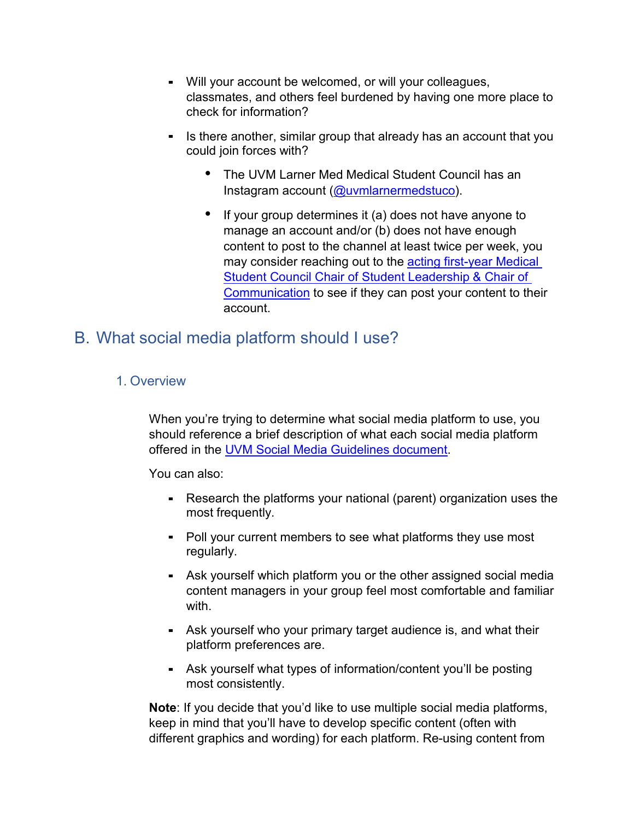- Will your account be welcomed, or will your colleagues, classmates, and others feel burdened by having one more place to check for information?
- **E** Is there another, similar group that already has an account that you could join forces with?
	- The UVM Larner Med Medical Student Council has an Instagram account [\(@uvmlarnermedstuco\)](https://www.instagram.com/uvmlarnermedstuco/?hl=en).
	- If your group determines it (a) does not have anyone to manage an account and/or (b) does not have enough content to post to the channel at least twice per week, you may consider reaching out to the acting first-year Medical [Student Council Chair of Student Leadership & Chair of](https://www.med.uvm.edu/studentservices/leadershipopps/studentcouncil)  [Communication](https://www.med.uvm.edu/studentservices/leadershipopps/studentcouncil) to see if they can post your content to their account.

# <span id="page-5-1"></span><span id="page-5-0"></span>B. What social media platform should I use?

## 1. Overview

When you're trying to determine what social media platform to use, you should reference a brief description of what each social media platform offered in the [UVM Social Media Guidelines document.](https://www.uvm.edu/sites/default/files/UVM-Today/UVM-2021-SocialGuidelines.pdf)

You can also:

- Research the platforms your national (parent) organization uses the most frequently.
- Poll your current members to see what platforms they use most regularly.
- **E** Ask yourself which platform you or the other assigned social media content managers in your group feel most comfortable and familiar with.
- **EXE** Ask yourself who your primary target audience is, and what their platform preferences are.
- **EXEL Ask yourself what types of information/content you'll be posting** most consistently.

**Note**: If you decide that you'd like to use multiple social media platforms, keep in mind that you'll have to develop specific content (often with different graphics and wording) for each platform. Re-using content from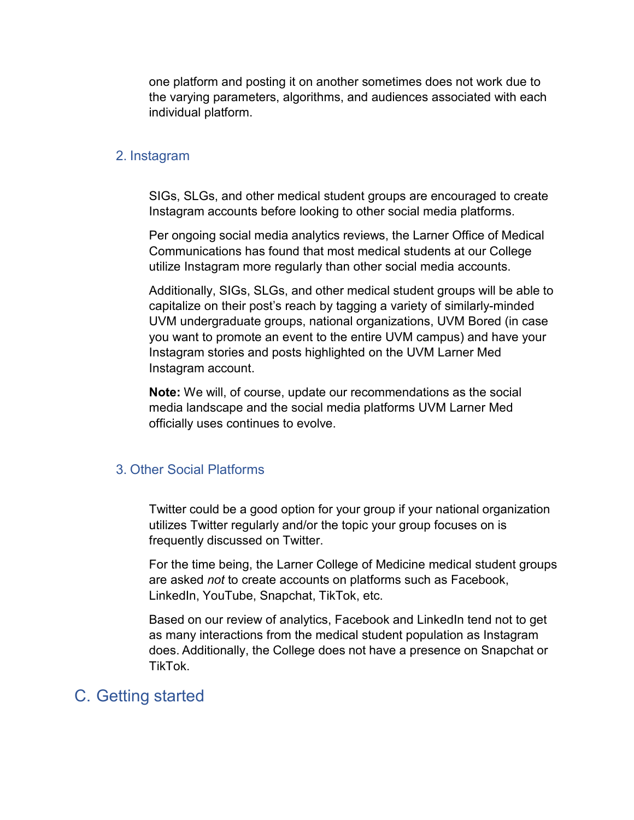one platform and posting it on another sometimes does not work due to the varying parameters, algorithms, and audiences associated with each individual platform.

#### <span id="page-6-0"></span>2. Instagram

SIGs, SLGs, and other medical student groups are encouraged to create Instagram accounts before looking to other social media platforms.

Per ongoing social media analytics reviews, the Larner Office of Medical Communications has found that most medical students at our College utilize Instagram more regularly than other social media accounts.

Additionally, SIGs, SLGs, and other medical student groups will be able to capitalize on their post's reach by tagging a variety of similarly-minded UVM undergraduate groups, national organizations, UVM Bored (in case you want to promote an event to the entire UVM campus) and have your Instagram stories and posts highlighted on the UVM Larner Med Instagram account.

**Note:** We will, of course, update our recommendations as the social media landscape and the social media platforms UVM Larner Med officially uses continues to evolve.

#### <span id="page-6-1"></span>3. Other Social Platforms

Twitter could be a good option for your group if your national organization utilizes Twitter regularly and/or the topic your group focuses on is frequently discussed on Twitter.

For the time being, the Larner College of Medicine medical student groups are asked *not* to create accounts on platforms such as Facebook, LinkedIn, YouTube, Snapchat, TikTok, etc.

Based on our review of analytics, Facebook and LinkedIn tend not to get as many interactions from the medical student population as Instagram does. Additionally, the College does not have a presence on Snapchat or TikTok.

## <span id="page-6-2"></span>C. Getting started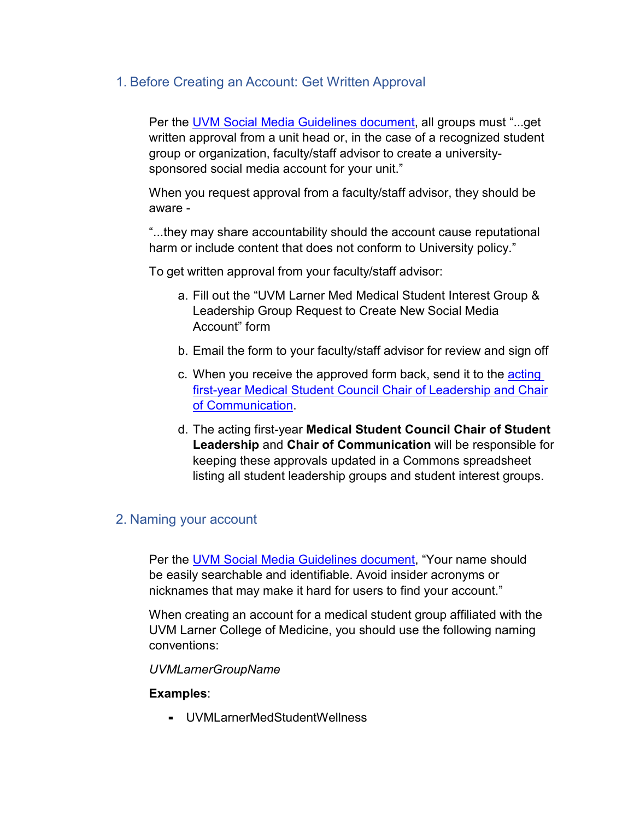## <span id="page-7-0"></span>1. Before Creating an Account: Get Written Approval

Per the [UVM Social Media Guidelines document,](https://www.uvm.edu/sites/default/files/UVM-Today/UVM-2021-SocialGuidelines.pdf) all groups must "...get written approval from a unit head or, in the case of a recognized student group or organization, faculty/staff advisor to create a universitysponsored social media account for your unit."

When you request approval from a faculty/staff advisor, they should be aware -

"...they may share accountability should the account cause reputational harm or include content that does not conform to University policy."

To get written approval from your faculty/staff advisor:

- a. Fill out the "UVM Larner Med Medical Student Interest Group & Leadership Group Request to Create New Social Media Account" form
- b. Email the form to your faculty/staff advisor for review and sign off
- c. When you receive the approved form back, send it to the acting [first-year Medical Student Council Chair of Leadership and Chair](https://www.med.uvm.edu/studentservices/leadershipopps/studentcouncil)  [of Communication.](https://www.med.uvm.edu/studentservices/leadershipopps/studentcouncil)
- d. The acting first-year **Medical Student Council Chair of Student Leadership** and **Chair of Communication** will be responsible for keeping these approvals updated in a Commons spreadsheet listing all student leadership groups and student interest groups.

## <span id="page-7-1"></span>2. Naming your account

Per the UVM Social Media [Guidelines document,](https://www.uvm.edu/sites/default/files/UVM-Today/UVM-2021-SocialGuidelines.pdf) "Your name should be easily searchable and identifiable. Avoid insider acronyms or nicknames that may make it hard for users to find your account."

When creating an account for a medical student group affiliated with the UVM Larner College of Medicine, you should use the following naming conventions:

*UVMLarnerGroupName*

#### **Examples**:

▪ UVMLarnerMedStudentWellness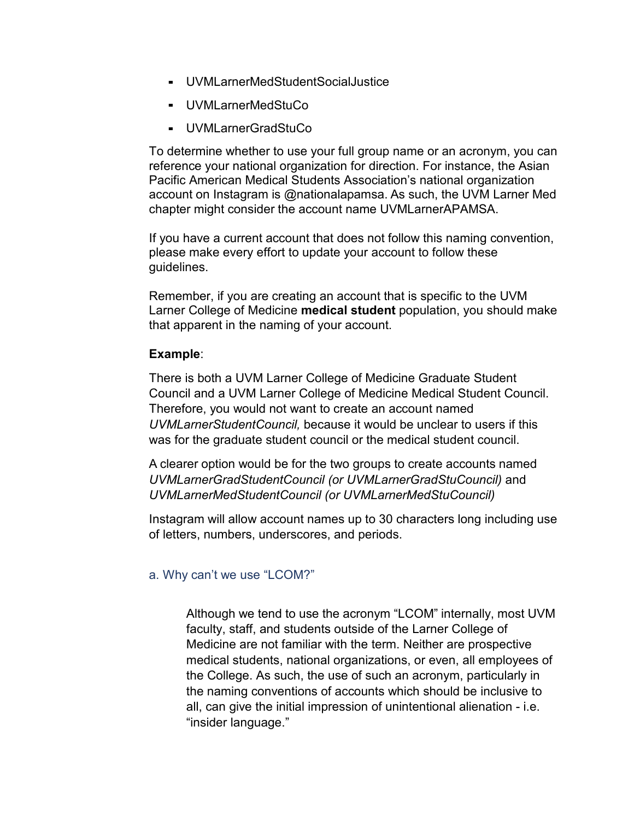- UVMLarnerMedStudentSocialJustice
- UVMLarnerMedStuCo
- UVMLarnerGradStuCo

To determine whether to use your full group name or an acronym, you can reference your national organization for direction. For instance, the Asian Pacific American Medical Students Association's national organization account on Instagram is @nationalapamsa. As such, the UVM Larner Med chapter might consider the account name UVMLarnerAPAMSA.

If you have a current account that does not follow this naming convention, please make every effort to update your account to follow these guidelines.

Remember, if you are creating an account that is specific to the UVM Larner College of Medicine **medical student** population, you should make that apparent in the naming of your account.

#### **Example**:

There is both a UVM Larner College of Medicine Graduate Student Council and a UVM Larner College of Medicine Medical Student Council. Therefore, you would not want to create an account named *UVMLarnerStudentCouncil,* because it would be unclear to users if this was for the graduate student council or the medical student council.

A clearer option would be for the two groups to create accounts named *UVMLarnerGradStudentCouncil (or UVMLarnerGradStuCouncil)* and *UVMLarnerMedStudentCouncil (or UVMLarnerMedStuCouncil)*

Instagram will allow account names up to 30 characters long including use of letters, numbers, underscores, and periods.

### <span id="page-8-0"></span>a. Why can't we use "LCOM?"

Although we tend to use the acronym "LCOM" internally, most UVM faculty, staff, and students outside of the Larner College of Medicine are not familiar with the term. Neither are prospective medical students, national organizations, or even, all employees of the College. As such, the use of such an acronym, particularly in the naming conventions of accounts which should be inclusive to all, can give the initial impression of unintentional alienation - i.e. "insider language."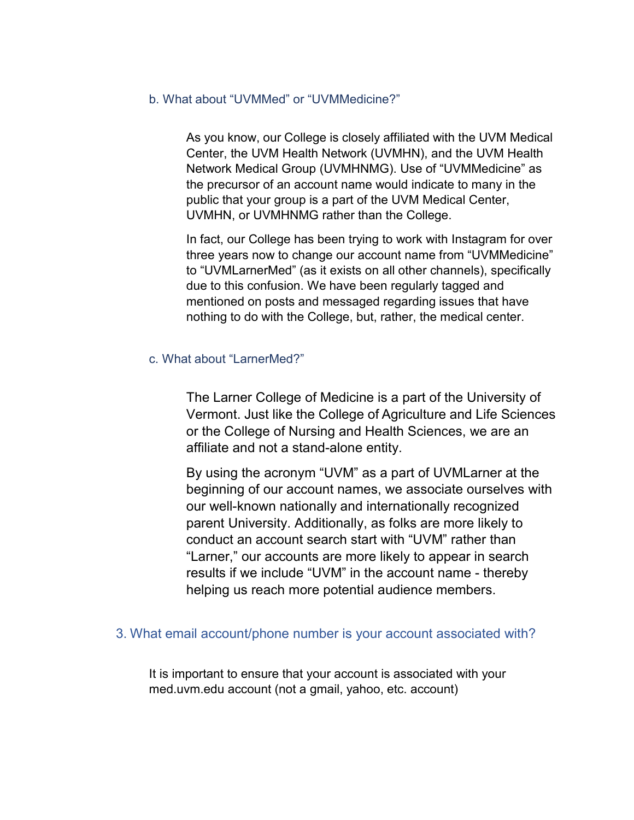#### <span id="page-9-0"></span>b. What about "UVMMed" or "UVMMedicine?"

As you know, our College is closely affiliated with the UVM Medical Center, the UVM Health Network (UVMHN), and the UVM Health Network Medical Group (UVMHNMG). Use of "UVMMedicine" as the precursor of an account name would indicate to many in the public that your group is a part of the UVM Medical Center, UVMHN, or UVMHNMG rather than the College.

In fact, our College has been trying to work with Instagram for over three years now to change our account name from "UVMMedicine" to "UVMLarnerMed" (as it exists on all other channels), specifically due to this confusion. We have been regularly tagged and mentioned on posts and messaged regarding issues that have nothing to do with the College, but, rather, the medical center.

#### <span id="page-9-1"></span>c. What about "LarnerMed?"

The Larner College of Medicine is a part of the University of Vermont. Just like the College of Agriculture and Life Sciences or the College of Nursing and Health Sciences, we are an affiliate and not a stand-alone entity.

By using the acronym "UVM" as a part of UVMLarner at the beginning of our account names, we associate ourselves with our well-known nationally and internationally recognized parent University. Additionally, as folks are more likely to conduct an account search start with "UVM" rather than "Larner," our accounts are more likely to appear in search results if we include "UVM" in the account name - thereby helping us reach more potential audience members.

#### <span id="page-9-2"></span>3. What email account/phone number is your account associated with?

It is important to ensure that your account is associated with your med.uvm.edu account (not a gmail, yahoo, etc. account)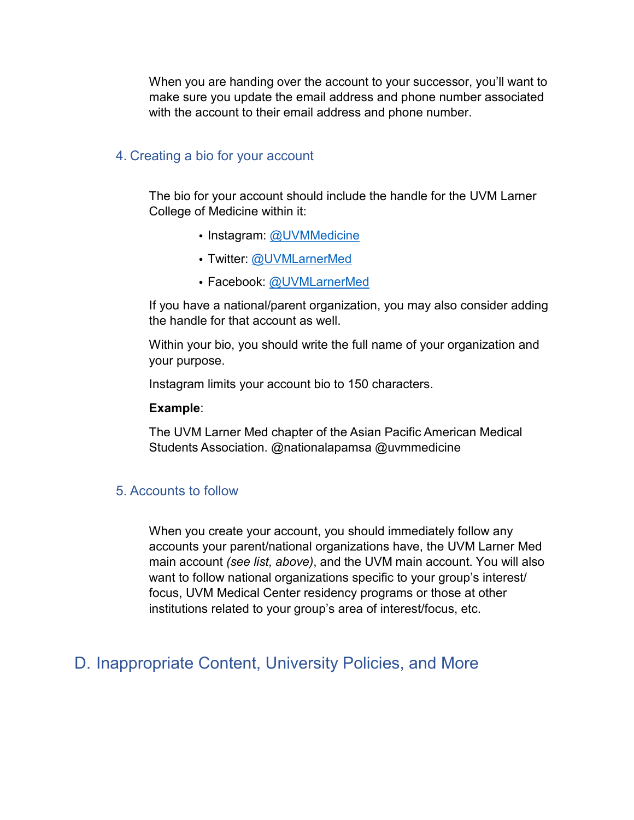When you are handing over the account to your successor, you'll want to make sure you update the email address and phone number associated with the account to their email address and phone number.

#### <span id="page-10-0"></span>4. Creating a bio for your account

The bio for your account should include the handle for the UVM Larner College of Medicine within it:

- Instagram: @UVMMedicine
- Twitter: @UVMLarnerMed
- Facebook: @UVMLarnerMed

If you have a national/parent organization, you may also consider adding the handle for that account as well.

Within your bio, you should write the full name of your organization and your purpose.

Instagram limits your account bio to 150 characters.

#### **Example**:

The UVM Larner Med chapter of the Asian Pacific American Medical Students Association. @nationalapamsa @uvmmedicine

#### <span id="page-10-1"></span>5. Accounts to follow

When you create your account, you should immediately follow any accounts your parent/national organizations have, the UVM Larner Med main account *(see list, above)*, and the UVM main account. You will also want to follow national organizations specific to your group's interest/ focus, UVM Medical Center residency programs or those at other institutions related to your group's area of interest/focus, etc.

## <span id="page-10-2"></span>D. Inappropriate Content, University Policies, and More